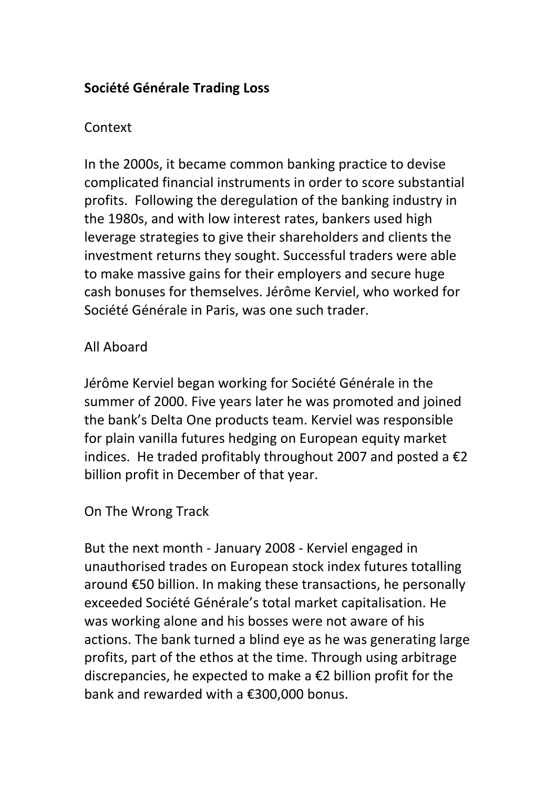# **Société Générale Trading Loss**

# Context

In the 2000s, it became common banking practice to devise complicated financial instruments in order to score substantial profits. Following the deregulation of the banking industry in the 1980s, and with low interest rates, bankers used high leverage strategies to give their shareholders and clients the investment returns they sought. Successful traders were able to make massive gains for their employers and secure huge cash bonuses for themselves. Jérôme Kerviel, who worked for Société Générale in Paris, was one such trader.

# All Aboard

Jérôme Kerviel began working for Société Générale in the summer of 2000. Five years later he was promoted and joined the bank's Delta One products team. Kerviel was responsible for plain vanilla futures hedging on European equity market indices. He traded profitably throughout 2007 and posted a  $\epsilon$ 2 billion profit in December of that year.

## On The Wrong Track

But the next month - January 2008 - Kerviel engaged in unauthorised trades on European stock index futures totalling around €50 billion. In making these transactions, he personally exceeded Société Générale's total market capitalisation. He was working alone and his bosses were not aware of his actions. The bank turned a blind eye as he was generating large profits, part of the ethos at the time. Through using arbitrage discrepancies, he expected to make a €2 billion profit for the bank and rewarded with a €300,000 bonus.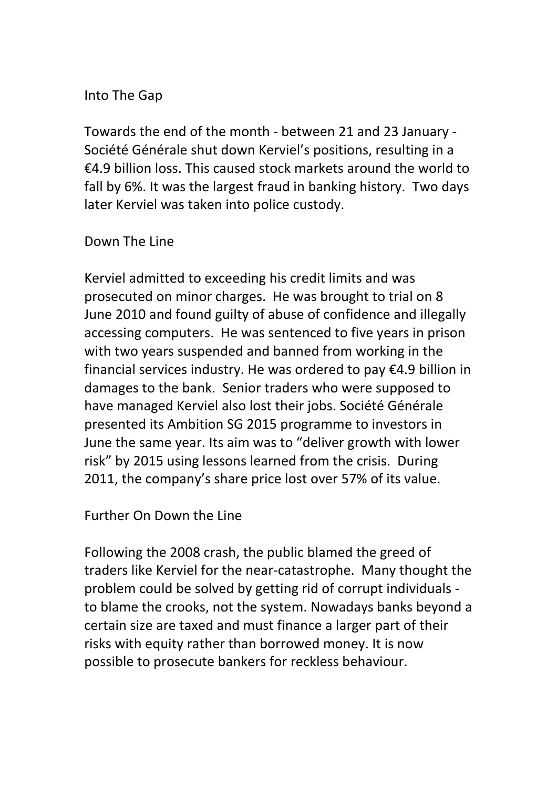## Into The Gap

Towards the end of the month - between 21 and 23 January - Société Générale shut down Kerviel's positions, resulting in a €4.9 billion loss. This caused stock markets around the world to fall by 6%. It was the largest fraud in banking history. Two days later Kerviel was taken into police custody.

## Down The Line

Kerviel admitted to exceeding his credit limits and was prosecuted on minor charges. He was brought to trial on 8 June 2010 and found guilty of abuse of confidence and illegally accessing computers. He was sentenced to five years in prison with two years suspended and banned from working in the financial services industry. He was ordered to pay €4.9 billion in damages to the bank. Senior traders who were supposed to have managed Kerviel also lost their jobs. Société Générale presented its Ambition SG 2015 programme to investors in June the same year. Its aim was to "deliver growth with lower risk" by 2015 using lessons learned from the crisis. During 2011, the company's share price lost over 57% of its value.

Further On Down the Line

Following the 2008 crash, the public blamed the greed of traders like Kerviel for the near-catastrophe. Many thought the problem could be solved by getting rid of corrupt individuals to blame the crooks, not the system. Nowadays banks beyond a certain size are taxed and must finance a larger part of their risks with equity rather than borrowed money. It is now possible to prosecute bankers for reckless behaviour.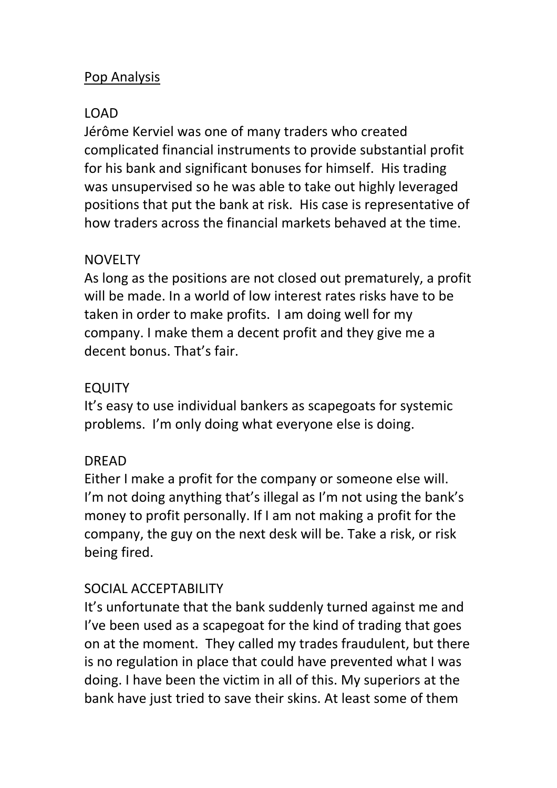## Pop Analysis

## LOAD

Jérôme Kerviel was one of many traders who created complicated financial instruments to provide substantial profit for his bank and significant bonuses for himself. His trading was unsupervised so he was able to take out highly leveraged positions that put the bank at risk. His case is representative of how traders across the financial markets behaved at the time.

## NOVELTY

As long as the positions are not closed out prematurely, a profit will be made. In a world of low interest rates risks have to be taken in order to make profits. I am doing well for my company. I make them a decent profit and they give me a decent bonus. That's fair.

## EQUITY

It's easy to use individual bankers as scapegoats for systemic problems. I'm only doing what everyone else is doing.

## DREAD

Either I make a profit for the company or someone else will. I'm not doing anything that's illegal as I'm not using the bank's money to profit personally. If I am not making a profit for the company, the guy on the next desk will be. Take a risk, or risk being fired.

## SOCIAL ACCEPTABILITY

It's unfortunate that the bank suddenly turned against me and I've been used as a scapegoat for the kind of trading that goes on at the moment. They called my trades fraudulent, but there is no regulation in place that could have prevented what I was doing. I have been the victim in all of this. My superiors at the bank have just tried to save their skins. At least some of them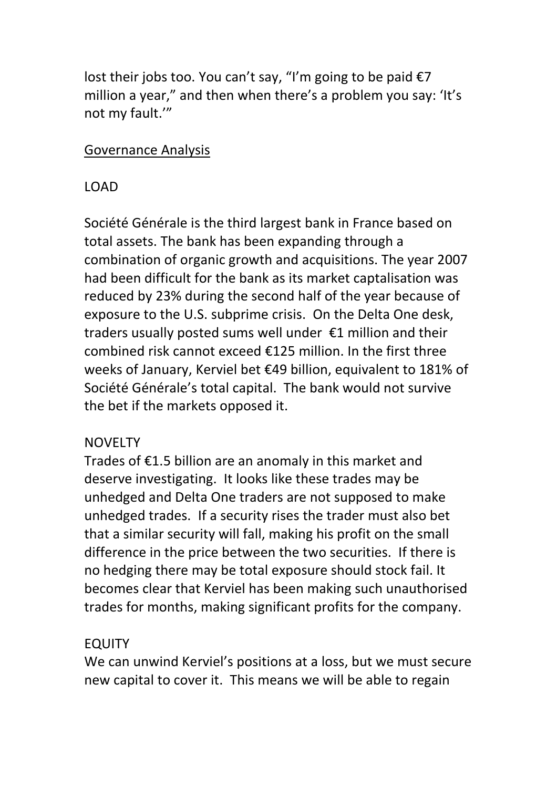lost their jobs too. You can't say, "I'm going to be paid  $\epsilon$ 7 million a year," and then when there's a problem you say: 'It's not my fault.'"

#### Governance Analysis

## LOAD

Société Générale is the third largest bank in France based on total assets. The bank has been expanding through a combination of organic growth and acquisitions. The year 2007 had been difficult for the bank as its market captalisation was reduced by 23% during the second half of the year because of exposure to the U.S. subprime crisis. On the Delta One desk, traders usually posted sums well under €1 million and their combined risk cannot exceed €125 million. In the first three weeks of January, Kerviel bet €49 billion, equivalent to 181% of Société Générale's total capital. The bank would not survive the bet if the markets opposed it.

## **NOVELTY**

Trades of €1.5 billion are an anomaly in this market and deserve investigating. It looks like these trades may be unhedged and Delta One traders are not supposed to make unhedged trades. If a security rises the trader must also bet that a similar security will fall, making his profit on the small difference in the price between the two securities. If there is no hedging there may be total exposure should stock fail. It becomes clear that Kerviel has been making such unauthorised trades for months, making significant profits for the company.

## EQUITY

We can unwind Kerviel's positions at a loss, but we must secure new capital to cover it. This means we will be able to regain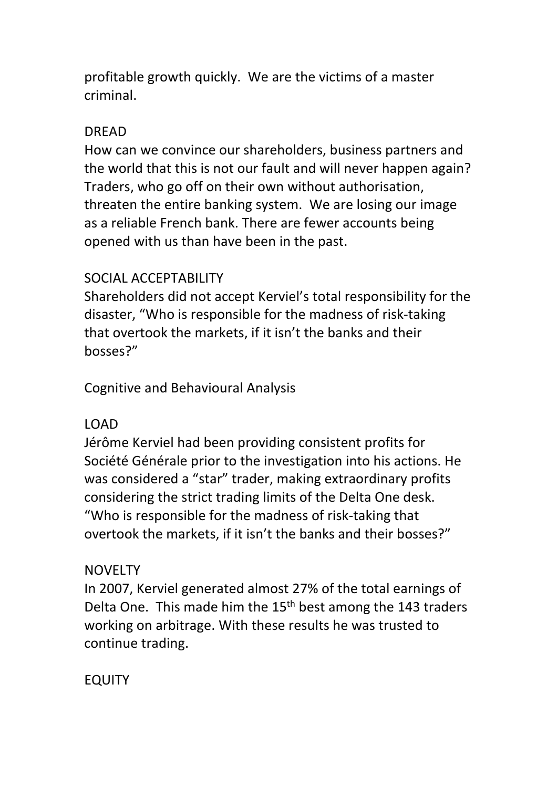profitable growth quickly. We are the victims of a master criminal.

# DREAD

How can we convince our shareholders, business partners and the world that this is not our fault and will never happen again? Traders, who go off on their own without authorisation, threaten the entire banking system. We are losing our image as a reliable French bank. There are fewer accounts being opened with us than have been in the past.

# SOCIAL ACCEPTABILITY

Shareholders did not accept Kerviel's total responsibility for the disaster, "Who is responsible for the madness of risk-taking that overtook the markets, if it isn't the banks and their bosses?"

Cognitive and Behavioural Analysis

# LOAD

Jérôme Kerviel had been providing consistent profits for Société Générale prior to the investigation into his actions. He was considered a "star" trader, making extraordinary profits considering the strict trading limits of the Delta One desk. "Who is responsible for the madness of risk-taking that overtook the markets, if it isn't the banks and their bosses?"

## NOVELTY

In 2007, Kerviel generated almost 27% of the total earnings of Delta One. This made him the 15<sup>th</sup> best among the 143 traders working on arbitrage. With these results he was trusted to continue trading.

EQUITY